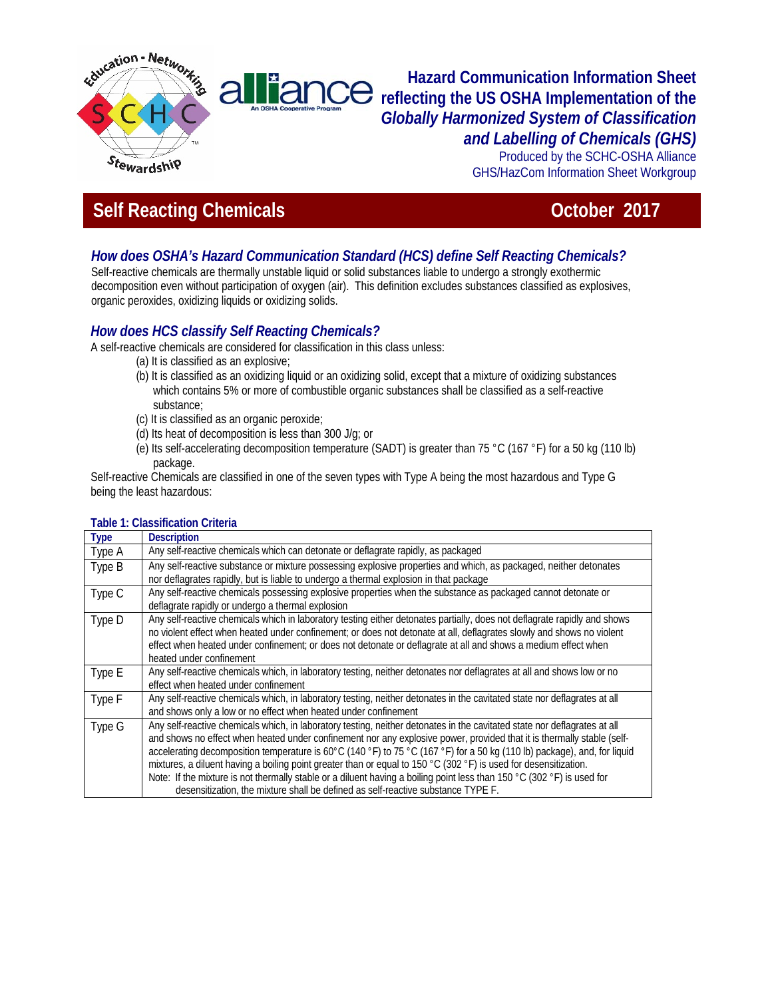

# **Hazard Communication Information Sheet**  liance **reflecting the US OSHA Implementation of the**  *Globally Harmonized System of Classification and Labelling of Chemicals (GHS)*

Produced by the SCHC-OSHA Alliance GHS/HazCom Information Sheet Workgroup

# **Self Reacting Chemicals Contract Contract Contract Contract Contract Contract Contract Contract Contract Contract Contract Contract Contract Contract Contract Contract Contract Contract Contract Contract Contract Contract**

# *How does OSHA's Hazard Communication Standard (HCS) define Self Reacting Chemicals?*

Self-reactive chemicals are thermally unstable liquid or solid substances liable to undergo a strongly exothermic decomposition even without participation of oxygen (air). This definition excludes substances classified as explosives, organic peroxides, oxidizing liquids or oxidizing solids.

# *How does HCS classify Self Reacting Chemicals?*

 $\mathsf{a}$ 

A self-reactive chemicals are considered for classification in this class unless:

- (a) It is classified as an explosive;
	- (b) It is classified as an oxidizing liquid or an oxidizing solid, except that a mixture of oxidizing substances which contains 5% or more of combustible organic substances shall be classified as a self-reactive substance;
	- (c) It is classified as an organic peroxide;
	- (d) Its heat of decomposition is less than 300 J/g; or
	- (e) Its self-accelerating decomposition temperature (SADT) is greater than 75 °C (167 °F) for a 50 kg (110 lb) package.

Self-reactive Chemicals are classified in one of the seven types with Type A being the most hazardous and Type G being the least hazardous:

| <b>Type</b> | <b>Description</b>                                                                                                        |
|-------------|---------------------------------------------------------------------------------------------------------------------------|
| Type A      | Any self-reactive chemicals which can detonate or deflagrate rapidly, as packaged                                         |
| Type B      | Any self-reactive substance or mixture possessing explosive properties and which, as packaged, neither detonates          |
|             | nor deflagrates rapidly, but is liable to undergo a thermal explosion in that package                                     |
| Type C      | Any self-reactive chemicals possessing explosive properties when the substance as packaged cannot detonate or             |
|             | deflagrate rapidly or undergo a thermal explosion                                                                         |
| Type D      | Any self-reactive chemicals which in laboratory testing either detonates partially, does not deflagrate rapidly and shows |
|             | no violent effect when heated under confinement; or does not detonate at all, deflagrates slowly and shows no violent     |
|             | effect when heated under confinement; or does not detonate or deflagrate at all and shows a medium effect when            |
|             | heated under confinement                                                                                                  |
| Type E      | Any self-reactive chemicals which, in laboratory testing, neither detonates nor deflagrates at all and shows low or no    |
|             | effect when heated under confinement                                                                                      |
| Type F      | Any self-reactive chemicals which, in laboratory testing, neither detonates in the cavitated state nor deflagrates at all |
|             | and shows only a low or no effect when heated under confinement                                                           |
| Type G      | Any self-reactive chemicals which, in laboratory testing, neither detonates in the cavitated state nor deflagrates at all |
|             | and shows no effect when heated under confinement nor any explosive power, provided that it is thermally stable (self-    |
|             | accelerating decomposition temperature is 60°C (140 °F) to 75 °C (167 °F) for a 50 kg (110 lb) package), and, for liquid  |
|             | mixtures, a diluent having a boiling point greater than or equal to 150 °C (302 °F) is used for desensitization.          |
|             | Note: If the mixture is not thermally stable or a diluent having a boiling point less than 150 °C (302 °F) is used for    |
|             | desensitization, the mixture shall be defined as self-reactive substance TYPE F.                                          |

#### **Table 1: Classification Criteria**